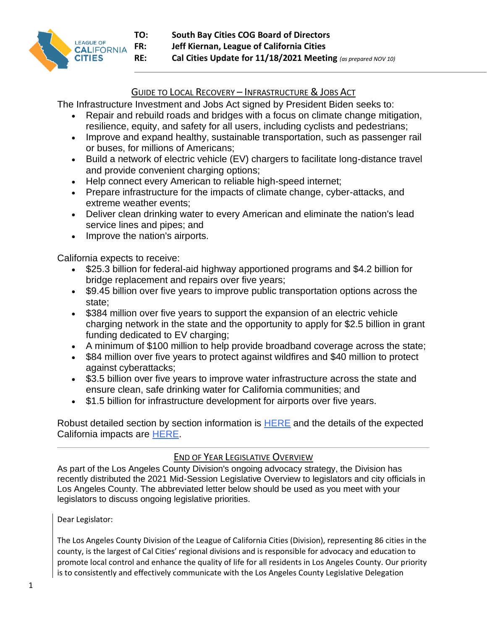

## GUIDE TO LOCAL RECOVERY – INFRASTRUCTURE & JOBS ACT

The Infrastructure Investment and Jobs Act signed by President Biden seeks to:

- Repair and rebuild roads and bridges with a focus on climate change mitigation, resilience, equity, and safety for all users, including cyclists and pedestrians;
- Improve and expand healthy, sustainable transportation, such as passenger rail or buses, for millions of Americans;
- Build a network of electric vehicle (EV) chargers to facilitate long-distance travel and provide convenient charging options;
- Help connect every American to reliable high-speed internet;
- Prepare infrastructure for the impacts of climate change, cyber-attacks, and extreme weather events;
- Deliver clean drinking water to every American and eliminate the nation's lead service lines and pipes; and
- Improve the nation's airports.

California expects to receive:

- \$25.3 billion for federal-aid highway apportioned programs and \$4.2 billion for bridge replacement and repairs over five years;
- \$9.45 billion over five years to improve public transportation options across the state;
- \$384 million over five years to support the expansion of an electric vehicle charging network in the state and the opportunity to apply for \$2.5 billion in grant funding dedicated to EV charging;
- A minimum of \$100 million to help provide broadband coverage across the state;
- \$84 million over five years to protect against wildfires and \$40 million to protect against cyberattacks;
- \$3.5 billion over five years to improve water infrastructure across the state and ensure clean, safe drinking water for California communities; and
- \$1.5 billion for infrastructure development for airports over five years.

Robust detailed section by section information is **HERE** and the details of the expected California impacts are [HERE.](https://files.constantcontact.com/6492bfc1101/e14f85d8-e0ce-432f-9233-a383cc7cf92a.pdf)

## END OF YEAR LEGISLATIVE OVERVIEW

As part of the Los Angeles County Division's ongoing advocacy strategy, the Division has recently distributed the 2021 Mid-Session Legislative Overview to legislators and city officials in Los Angeles County. The abbreviated letter below should be used as you meet with your legislators to discuss ongoing legislative priorities.

## Dear Legislator:

The Los Angeles County Division of the League of California Cities (Division), representing 86 cities in the county, is the largest of Cal Cities' regional divisions and is responsible for advocacy and education to promote local control and enhance the quality of life for all residents in Los Angeles County. Our priority is to consistently and effectively communicate with the Los Angeles County Legislative Delegation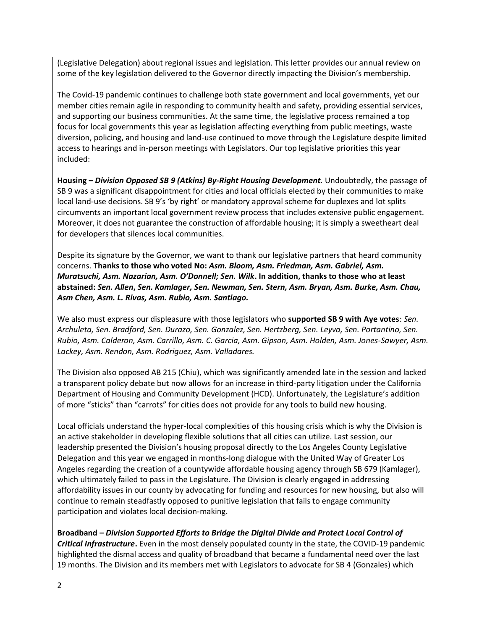(Legislative Delegation) about regional issues and legislation. This letter provides our annual review on some of the key legislation delivered to the Governor directly impacting the Division's membership.

The Covid-19 pandemic continues to challenge both state government and local governments, yet our member cities remain agile in responding to community health and safety, providing essential services, and supporting our business communities. At the same time, the legislative process remained a top focus for local governments this year as legislation affecting everything from public meetings, waste diversion, policing, and housing and land-use continued to move through the Legislature despite limited access to hearings and in-person meetings with Legislators. Our top legislative priorities this year included:

**Housing –** *Division Opposed SB 9 (Atkins) By-Right Housing Development.* Undoubtedly, the passage of SB 9 was a significant disappointment for cities and local officials elected by their communities to make local land-use decisions. SB 9's 'by right' or mandatory approval scheme for duplexes and lot splits circumvents an important local government review process that includes extensive public engagement. Moreover, it does not guarantee the construction of affordable housing; it is simply a sweetheart deal for developers that silences local communities.

Despite its signature by the Governor, we want to thank our legislative partners that heard community concerns. **Thanks to those who voted No:** *Asm. Bloom, Asm. Friedman, Asm. Gabriel, Asm. Muratsuchi, Asm. Nazarian, Asm. O'Donnell; Sen. Wilk***. In addition, thanks to those who at least abstained:** *Sen. Allen***,** *Sen. Kamlager, Sen. Newman, Sen. Stern, Asm. Bryan, Asm. Burke, Asm. Chau, Asm Chen, Asm. L. Rivas, Asm. Rubio, Asm. Santiago.*

We also must express our displeasure with those legislators who **supported SB 9 with Aye votes**: *Sen. Archuleta, Sen. Bradford, Sen. Durazo, Sen. Gonzalez, Sen. Hertzberg, Sen. Leyva, Sen. Portantino, Sen. Rubio, Asm. Calderon, Asm. Carrillo, Asm. C. Garcia, Asm. Gipson, Asm. Holden, Asm. Jones-Sawyer, Asm. Lackey, Asm. Rendon, Asm. Rodriguez, Asm. Valladares.*

The Division also opposed AB 215 (Chiu), which was significantly amended late in the session and lacked a transparent policy debate but now allows for an increase in third-party litigation under the California Department of Housing and Community Development (HCD). Unfortunately, the Legislature's addition of more "sticks" than "carrots" for cities does not provide for any tools to build new housing.

Local officials understand the hyper-local complexities of this housing crisis which is why the Division is an active stakeholder in developing flexible solutions that all cities can utilize. Last session, our leadership presented the Division's housing proposal directly to the Los Angeles County Legislative Delegation and this year we engaged in months-long dialogue with the United Way of Greater Los Angeles regarding the creation of a countywide affordable housing agency through SB 679 (Kamlager), which ultimately failed to pass in the Legislature. The Division is clearly engaged in addressing affordability issues in our county by advocating for funding and resources for new housing, but also will continue to remain steadfastly opposed to punitive legislation that fails to engage community participation and violates local decision-making.

**Broadband –** *Division Supported Efforts to Bridge the Digital Divide and Protect Local Control of Critical Infrastructure***.** Even in the most densely populated county in the state, the COVID-19 pandemic highlighted the dismal access and quality of broadband that became a fundamental need over the last 19 months. The Division and its members met with Legislators to advocate for SB 4 (Gonzales) which